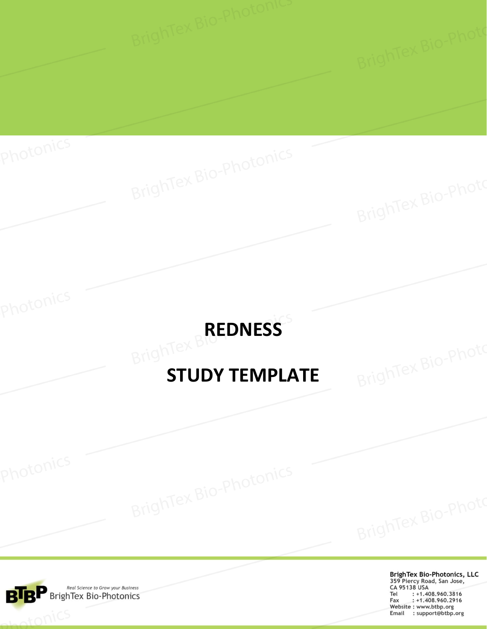# **BrighTex BREDNESS**

# **STUDY TEMPLATE**



tonics

Photonics

**BrighTex Bio-Photonics, LLC** 359 Piercy Road, San Jose, CA 95138 USA Tel : +1.408.960.3816<br>Fax : +1.408.960.2916 *Website: www.btbp.org*<br> *Email* : support@btbp.org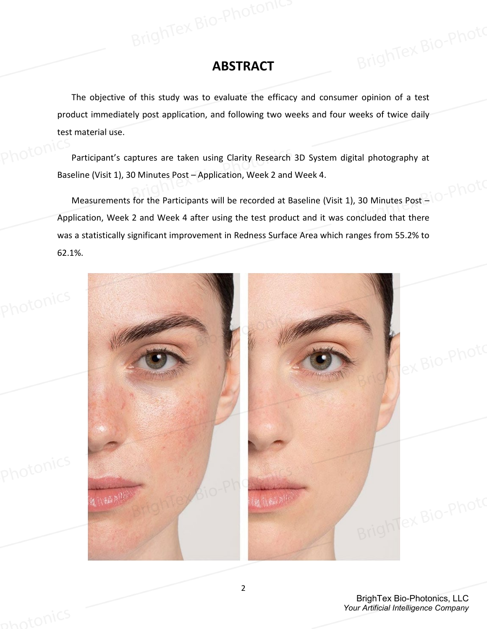# **ABSTRACT**

The objective of this study was to evaluate the efficacy and consumer opinion of a test product immediately post application, and following two weeks and four weeks of twice daily test material use.

Participant's captures are taken using Clarity Research 3D System digital photography at Baseline (Visit 1), 30 Minutes Post – Application, Week 2 and Week 4.

Measurements for the Participants will be recorded at Baseline (Visit 1), 30 Minutes Post – Application, Week 2 and Week 4 after using the test product and it was concluded that there was a statistically significant improvement in Redness Surface Area which ranges from 55.2% to 62.1%.



BrighTex Bio-Photonics, LLC *Your Artificial Intelligence Company*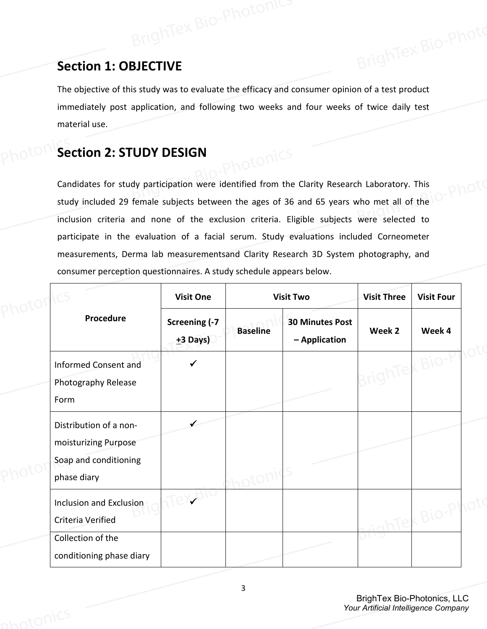# **Section 1: OBJECTIVE**

The objective of this study was to evaluate the efficacy and consumer opinion of a test product immediately post application, and following two weeks and four weeks of twice daily test material use.

# **Section 2: STUDY DESIGN**

Candidates for study participation were identified from the Clarity Research Laboratory. This study included 29 female subjects between the ages of 36 and 65 years who met all of the inclusion criteria and none of the exclusion criteria. Eligible subjects were selected to participate in the evaluation of a facial serum. Study evaluations included Corneometer measurements, Derma lab measurementsand Clarity Research 3D System photography, and consumer perception questionnaires. A study schedule appears below.

|                                                                                        | <b>Visit One</b>            |                 | <b>Visit Two</b>                        | <b>Visit Three</b> | <b>Visit Four</b> |
|----------------------------------------------------------------------------------------|-----------------------------|-----------------|-----------------------------------------|--------------------|-------------------|
| Procedure                                                                              | Screening (-7<br>$±3$ Days) | <b>Baseline</b> | <b>30 Minutes Post</b><br>- Application | Week 2             | Week 4            |
| <b>Informed Consent and</b><br>Photography Release<br>Form                             |                             |                 |                                         | isint              |                   |
| Distribution of a non-<br>moisturizing Purpose<br>Soap and conditioning<br>phase diary |                             |                 |                                         |                    |                   |
| Inclusion and Exclusion<br>Criteria Verified<br>Collection of the                      |                             |                 |                                         |                    |                   |
| conditioning phase diary                                                               |                             |                 |                                         |                    |                   |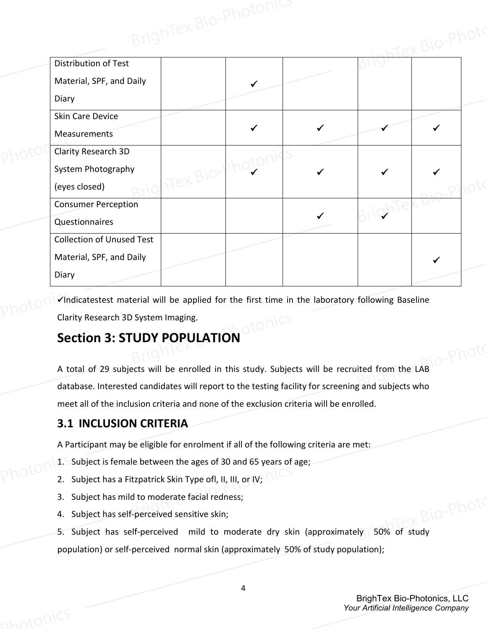| Distribution of Test             |          |  |  |
|----------------------------------|----------|--|--|
| Material, SPF, and Daily         |          |  |  |
| Diary                            |          |  |  |
| Skin Care Device                 |          |  |  |
| Measurements                     |          |  |  |
| Clarity Research 3D              |          |  |  |
| System Photography               |          |  |  |
| (eyes closed)                    | Tex Bio. |  |  |
| <b>Consumer Perception</b>       |          |  |  |
| Questionnaires                   |          |  |  |
| <b>Collection of Unused Test</b> |          |  |  |
| Material, SPF, and Daily         |          |  |  |
| Diary                            |          |  |  |

 $\checkmark$ Indicatestest material will be applied for the first time in the laboratory following Baseline Clarity Research 3D System Imaging.

# **Section 3: STUDY POPULATION**

A total of 29 subjects will be enrolled in this study. Subjects will be recruited from the LAB database. Interested candidates will report to the testing facility for screening and subjects who meet all of the inclusion criteria and none of the exclusion criteria will be enrolled.

# **3.1 INCLUSION CRITERIA**

A Participant may be eligible for enrolment if all of the following criteria are met:

- 1. Subject is female between the ages of 30 and 65 years of age;
- 2. Subject has a Fitzpatrick Skin Type ofl, II, III, or IV;
- 3. Subject has mild to moderate facial redness;
- 4. Subject has self-perceived sensitive skin;

5. Subject has self-perceived mild to moderate dry skin (approximately 50% of study population) or self-perceived normal skin (approximately 50% of study population);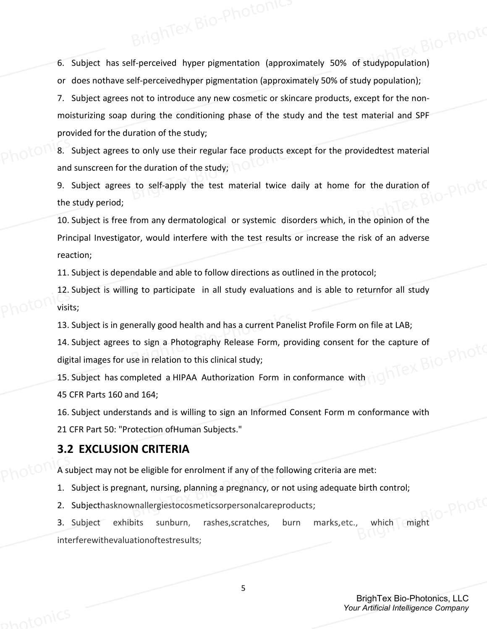6. Subject has self-perceived hyper pigmentation (approximately 50% of studypopulation) or does nothave self-perceivedhyper pigmentation (approximately 50% of study population);

7. Subject agrees not to introduce any new cosmetic or skincare products, except for the nonmoisturizing soap during the conditioning phase of the study and the test material and SPF provided for the duration of the study;

8. Subject agrees to only use their regular face products except for the providedtest material and sunscreen for the duration of the study;

9. Subject agrees to self-apply the test material twice daily at home for the duration of the study period;

10. Subject is free from any dermatological or systemic disorders which, in the opinion of the Principal Investigator, would interfere with the test results or increase the risk of an adverse reaction;

11. Subject is dependable and able to follow directions as outlined in the protocol;

12. Subject is willing to participate in all study evaluations and is able to returnfor all study visits;

13. Subject is in generally good health and has a current Panelist Profile Form on file at LAB;

14. Subject agrees to sign a Photography Release Form, providing consent for the capture of digital images for use in relation to this clinical study;<br>15. Subject has completed a time digital images for use in relation to this clinical study;

15. Subject has completed a HIPAA Authorization Form in conformance with

45 CFR Parts 160 and 164;

16. Subject understands and is willing to sign an Informed Consent Form m conformance with 21 CFR Part 50: "Protection ofHuman Subjects."

### **3.2 EXCLUSION CRITERIA**

A subject may not be eligible for enrolment if any of the following criteria are met:

1. Subject is pregnant, nursing, planning a pregnancy, or not using adequate birth control;

2. Subjecthasknownallergiestocosmeticsorpersonalcareproducts;

2. Subject in SKIIDWIN and Photosmetics or personal care products;<br>3. Subject exhibits sunburn, rashes, scratches, burn marks, etc., which might interferewithevaluationoftestresults;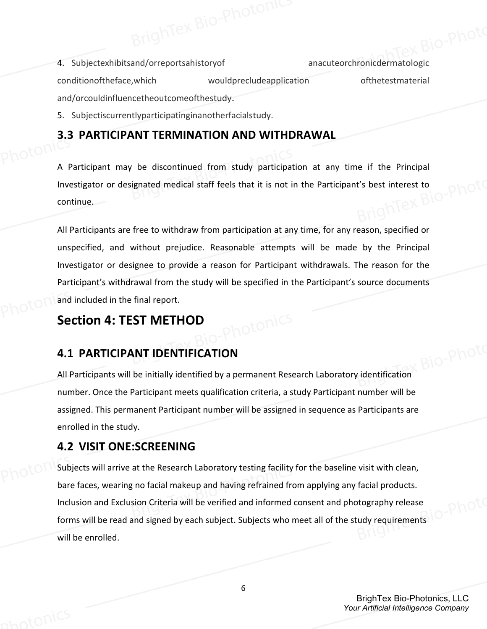4. Subjectexhibitsand/orreportsahistoryof anacuteorchronicdermatologic conditionoftheface,which wouldprecludeapplication ofthetestmaterial and/orcouldinfluencetheoutcomeofthestudy.

5. Subjectiscurrentlyparticipatinginanotherfacialstudy.

### **3.3 PARTICIPANT TERMINATION AND WITHDRAWAL**

A Participant may be discontinued from study participation at any time if the Principal Investigator or designated medical staff feels that it is not in the Participant's best interest to<br>continue continue.

All Participants are free to withdraw from participation at any time, for any reason, specified or unspecified, and without prejudice. Reasonable attempts will be made by the Principal Investigator or designee to provide a reason for Participant withdrawals. The reason for the Participant's withdrawal from the study will be specified in the Participant's source documents and included in the final report.

# **Section 4: TEST METHOD**

### **4.1 PARTICIPANT IDENTIFICATION**

All Participants will be initially identified by a permanent Research Laboratory identification number. Once the Participant meets qualification criteria, a study Participant number will be assigned. This permanent Participant number will be assigned in sequence as Participants are enrolled in the study.

### **4.2 VISIT ONE:SCREENING**

Subjects will arrive at the Research Laboratory testing facility for the baseline visit with clean, bare faces, wearing no facial makeup and having refrained from applying any facial products. Inclusion and Exclusion Criteria will be verified and informed consent and photography release forms will be read and signed by each subject. Subjects who meet all of the study requirements will be enrolled.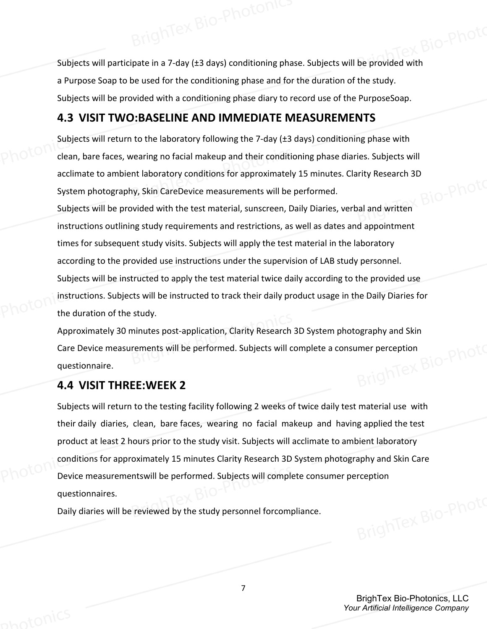Subjects will participate in a 7-day (±3 days) conditioning phase. Subjects will be provided with a Purpose Soap to be used for the conditioning phase and for the duration of the study. Subjects will be provided with a conditioning phase diary to record use of the PurposeSoap.

### **4.3 VISIT TWO:BASELINE AND IMMEDIATE MEASUREMENTS**

Subjects will return to the laboratory following the 7-day (±3 days) conditioning phase with clean, bare faces, wearing no facial makeup and their conditioning phase diaries. Subjects will acclimate to ambient laboratory conditions for approximately 15 minutes. Clarity Research 3D<br>System photography, Skin CareDevice measurements will be performed. System photography, Skin CareDevice measurements will be performed.

Subjects will be provided with the test material, sunscreen, Daily Diaries, verbal and written instructions outlining study requirements and restrictions, as well as dates and appointment times for subsequent study visits. Subjects will apply the test material in the laboratory according to the provided use instructions under the supervision of LAB study personnel. Subjects will be instructed to apply the test material twice daily according to the provided use instructions. Subjects will be instructed to track their daily product usage in the Daily Diaries for the duration of the study.

Approximately 30 minutes post-application, Clarity Research 3D System photography and Skin<br>Care Device measurements will be performed. Subjects will complete a consumer perception<br>questionnaire.<br>**4.4 VISIT THPEE.WET** Care Device measurements will be performed. Subjects will complete a consumer perception questionnaire.

### **4.4 VISIT THREE:WEEK 2**

Subjects will return to the testing facility following 2 weeks of twice daily test material use with their daily diaries, clean, bare faces, wearing no facial makeup and having applied the test product at least 2 hours prior to the study visit. Subjects will acclimate to ambient laboratory conditions for approximately 15 minutes Clarity Research 3D System photography and Skin Care Device measurementswill be performed. Subjects will complete consumer perception questionnaires.

Daily diaries will be reviewed by the study personnel forcompliance.

BrighTex Bio-Photonics, LLC *Your Artificial Intelligence Company*

7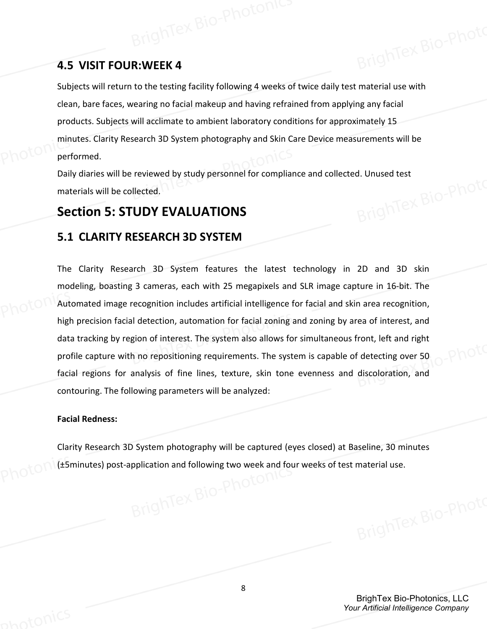## **4.5 VISIT FOUR:WEEK 4**

Subjects will return to the testing facility following 4 weeks of twice daily test material use with clean, bare faces, wearing no facial makeup and having refrained from applying any facial products. Subjects will acclimate to ambient laboratory conditions for approximately 15 minutes. Clarity Research 3D System photography and Skin Care Device measurements will be performed.

Daily diaries will be reviewed by study personnel for compliance and collected. Unused test<br>materials will be collected.<br>**Section 5: STUDY EVALUATIONIS** materials will be collected.

# **Section 5: STUDY EVALUATIONS**

### **5.1 CLARITY RESEARCH 3D SYSTEM**

The Clarity Research 3D System features the latest technology in 2D and 3D skin modeling, boasting 3 cameras, each with 25 megapixels and SLR image capture in 16-bit. The Automated image recognition includes artificial intelligence for facial and skin area recognition, high precision facial detection, automation for facial zoning and zoning by area of interest, and data tracking by region of interest. The system also allows for simultaneous front, left and right profile capture with no repositioning requirements. The system is capable of detecting over 50 facial regions for analysis of fine lines, texture, skin tone evenness and discoloration, and contouring. The following parameters will be analyzed:

### **Facial Redness:**

Clarity Research 3D System photography will be captured (eyes closed) at Baseline, 30 minutes (±5minutes) post-application and following two week and four weeks of test material use.<br>
Represented by the contract of the contract material use.

> BrighTex Bio-Photonics, LLC *Your Artificial Intelligence Company*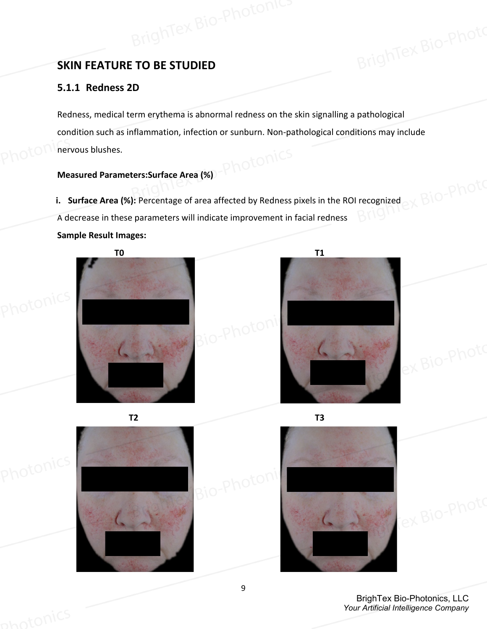# **SKIN FEATURE TO BE STUDIED**

### **5.1.1 Redness 2D**

Redness, medical term erythema is abnormal redness on the skin signalling a pathological condition such as inflammation, infection or sunburn. Non-pathological conditions may include nervous blushes.

### **Measured Parameters:Surface Area (%)**

**i. Surface Area (%):** Percentage of area affected by Redness pixels in the ROI recognized A decrease in these parameters will indicate improvement in facial redness **Sample Result Images:**











BrighTex Bio-Photonics, LLC *Your Artificial Intelligence Company*

Tex Bio-Photo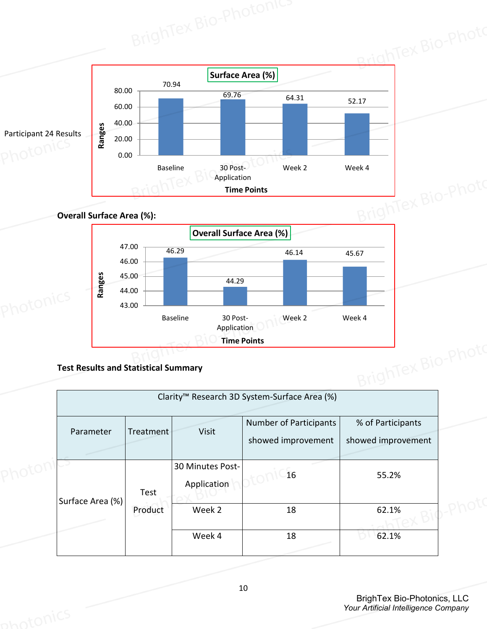

|                  |           |                                 | Clarity <sup>™</sup> Research 3D System-Surface Area (%) |                                         |  |
|------------------|-----------|---------------------------------|----------------------------------------------------------|-----------------------------------------|--|
| Parameter        | Treatment | Visit                           | <b>Number of Participants</b><br>showed improvement      | % of Participants<br>showed improvement |  |
| Surface Area (%) | Test      | 30 Minutes Post-<br>Application | 16                                                       | 55.2%                                   |  |
|                  | Product   | Week 2                          | 18                                                       | 62.1%                                   |  |
|                  |           | Week 4                          | 18                                                       | 62.1%                                   |  |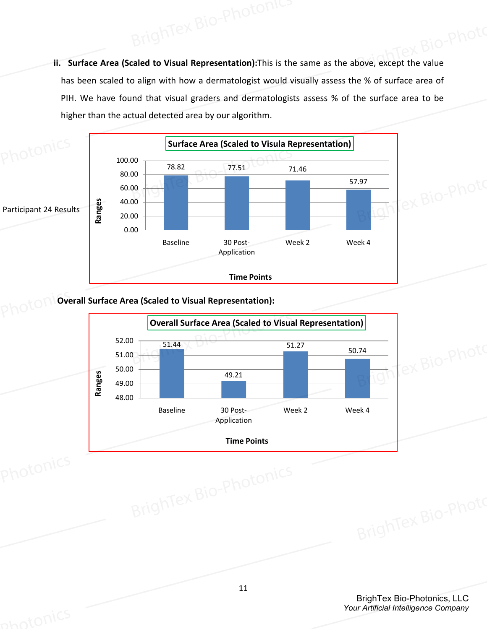**ii. Surface Area (Scaled to Visual Representation):**This is the same as the above, except the value has been scaled to align with how a dermatologist would visually assess the % of surface area of PIH. We have found that visual graders and dermatologists assess % of the surface area to be higher than the actual detected area by our algorithm.